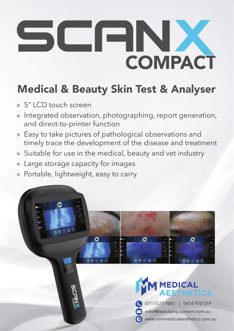## COMPACT  $\blacksquare$ F

## Medical & Beauty Skin Test & Analyser

- » 5" LCD touch screen
- » Integrated observation, photographing, report generation, and direct-to-printer function
- » Easy to take pictures of pathological observations and timely trace the development of the disease and treatment
- » Suitable for use in the medical, beauty and vet industry
- » Large storage capacity for images
- » Portable, lightweight, easy to carry